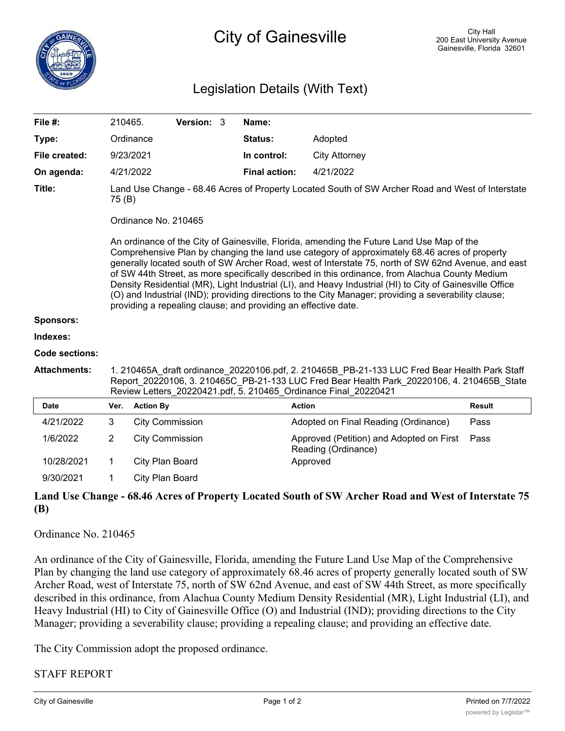## Legislation Details (With Text)

| File #:               | 210465.                                                                                                                                                                                                                                                                                                                                                                                                                                                                                                                                                                                                                                                                                    |                  | Version: 3             |  | Name:                |                                                                 |               |
|-----------------------|--------------------------------------------------------------------------------------------------------------------------------------------------------------------------------------------------------------------------------------------------------------------------------------------------------------------------------------------------------------------------------------------------------------------------------------------------------------------------------------------------------------------------------------------------------------------------------------------------------------------------------------------------------------------------------------------|------------------|------------------------|--|----------------------|-----------------------------------------------------------------|---------------|
| Type:                 |                                                                                                                                                                                                                                                                                                                                                                                                                                                                                                                                                                                                                                                                                            | Ordinance        |                        |  | <b>Status:</b>       | Adopted                                                         |               |
| File created:         |                                                                                                                                                                                                                                                                                                                                                                                                                                                                                                                                                                                                                                                                                            | 9/23/2021        |                        |  | In control:          | <b>City Attorney</b>                                            |               |
| On agenda:            |                                                                                                                                                                                                                                                                                                                                                                                                                                                                                                                                                                                                                                                                                            | 4/21/2022        |                        |  | <b>Final action:</b> | 4/21/2022                                                       |               |
| Title:                | Land Use Change - 68.46 Acres of Property Located South of SW Archer Road and West of Interstate<br>75 (B)                                                                                                                                                                                                                                                                                                                                                                                                                                                                                                                                                                                 |                  |                        |  |                      |                                                                 |               |
|                       | Ordinance No. 210465                                                                                                                                                                                                                                                                                                                                                                                                                                                                                                                                                                                                                                                                       |                  |                        |  |                      |                                                                 |               |
|                       | An ordinance of the City of Gainesville, Florida, amending the Future Land Use Map of the<br>Comprehensive Plan by changing the land use category of approximately 68.46 acres of property<br>generally located south of SW Archer Road, west of Interstate 75, north of SW 62nd Avenue, and east<br>of SW 44th Street, as more specifically described in this ordinance, from Alachua County Medium<br>Density Residential (MR), Light Industrial (LI), and Heavy Industrial (HI) to City of Gainesville Office<br>(O) and Industrial (IND); providing directions to the City Manager; providing a severability clause;<br>providing a repealing clause; and providing an effective date. |                  |                        |  |                      |                                                                 |               |
| Sponsors:             |                                                                                                                                                                                                                                                                                                                                                                                                                                                                                                                                                                                                                                                                                            |                  |                        |  |                      |                                                                 |               |
| Indexes:              |                                                                                                                                                                                                                                                                                                                                                                                                                                                                                                                                                                                                                                                                                            |                  |                        |  |                      |                                                                 |               |
| <b>Code sections:</b> |                                                                                                                                                                                                                                                                                                                                                                                                                                                                                                                                                                                                                                                                                            |                  |                        |  |                      |                                                                 |               |
| <b>Attachments:</b>   | 1. 210465A draft ordinance 20220106.pdf, 2. 210465B PB-21-133 LUC Fred Bear Health Park Staff<br>Report 20220106, 3. 210465C_PB-21-133 LUC Fred Bear Health Park_20220106, 4. 210465B_State<br>Review Letters 20220421.pdf, 5. 210465 Ordinance Final 20220421                                                                                                                                                                                                                                                                                                                                                                                                                             |                  |                        |  |                      |                                                                 |               |
| <b>Date</b>           | Ver.                                                                                                                                                                                                                                                                                                                                                                                                                                                                                                                                                                                                                                                                                       | <b>Action By</b> |                        |  |                      | <b>Action</b>                                                   | <b>Result</b> |
| 4/21/2022             | 3                                                                                                                                                                                                                                                                                                                                                                                                                                                                                                                                                                                                                                                                                          |                  | <b>City Commission</b> |  |                      | Adopted on Final Reading (Ordinance)                            | Pass          |
| 1/6/2022              | $\overline{2}$                                                                                                                                                                                                                                                                                                                                                                                                                                                                                                                                                                                                                                                                             |                  | <b>City Commission</b> |  |                      | Approved (Petition) and Adopted on First<br>Reading (Ordinance) | Pass          |
| 10/28/2021            | 1                                                                                                                                                                                                                                                                                                                                                                                                                                                                                                                                                                                                                                                                                          | City Plan Board  |                        |  |                      | Approved                                                        |               |
| 9/30/2021             | 1                                                                                                                                                                                                                                                                                                                                                                                                                                                                                                                                                                                                                                                                                          | City Plan Board  |                        |  |                      |                                                                 |               |

## **Land Use Change - 68.46 Acres of Property Located South of SW Archer Road and West of Interstate 75 (B)**

## Ordinance No. 210465

An ordinance of the City of Gainesville, Florida, amending the Future Land Use Map of the Comprehensive Plan by changing the land use category of approximately 68.46 acres of property generally located south of SW Archer Road, west of Interstate 75, north of SW 62nd Avenue, and east of SW 44th Street, as more specifically described in this ordinance, from Alachua County Medium Density Residential (MR), Light Industrial (LI), and Heavy Industrial (HI) to City of Gainesville Office (O) and Industrial (IND); providing directions to the City Manager; providing a severability clause; providing a repealing clause; and providing an effective date.

The City Commission adopt the proposed ordinance.

## STAFF REPORT